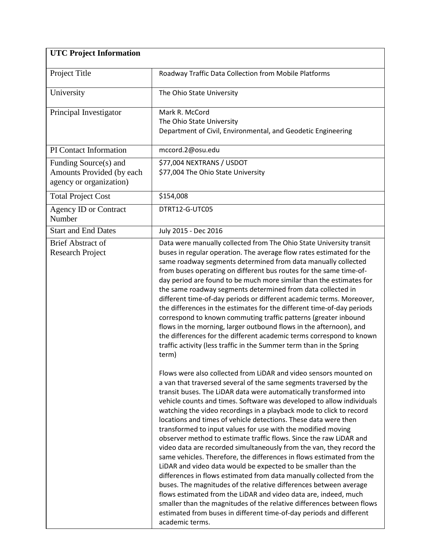| <b>UTC Project Information</b>                                                |                                                                                                                                                                                                                                                                                                                                                                                                                                                                                                                                                                                                                                                                                                                                                                                                                                                                                                                                                                                                                                                                                                                                                                            |
|-------------------------------------------------------------------------------|----------------------------------------------------------------------------------------------------------------------------------------------------------------------------------------------------------------------------------------------------------------------------------------------------------------------------------------------------------------------------------------------------------------------------------------------------------------------------------------------------------------------------------------------------------------------------------------------------------------------------------------------------------------------------------------------------------------------------------------------------------------------------------------------------------------------------------------------------------------------------------------------------------------------------------------------------------------------------------------------------------------------------------------------------------------------------------------------------------------------------------------------------------------------------|
| Project Title                                                                 | Roadway Traffic Data Collection from Mobile Platforms                                                                                                                                                                                                                                                                                                                                                                                                                                                                                                                                                                                                                                                                                                                                                                                                                                                                                                                                                                                                                                                                                                                      |
| University                                                                    | The Ohio State University                                                                                                                                                                                                                                                                                                                                                                                                                                                                                                                                                                                                                                                                                                                                                                                                                                                                                                                                                                                                                                                                                                                                                  |
| Principal Investigator                                                        | Mark R. McCord<br>The Ohio State University<br>Department of Civil, Environmental, and Geodetic Engineering                                                                                                                                                                                                                                                                                                                                                                                                                                                                                                                                                                                                                                                                                                                                                                                                                                                                                                                                                                                                                                                                |
| PI Contact Information                                                        | mccord.2@osu.edu                                                                                                                                                                                                                                                                                                                                                                                                                                                                                                                                                                                                                                                                                                                                                                                                                                                                                                                                                                                                                                                                                                                                                           |
| Funding Source(s) and<br>Amounts Provided (by each<br>agency or organization) | \$77,004 NEXTRANS / USDOT<br>\$77,004 The Ohio State University                                                                                                                                                                                                                                                                                                                                                                                                                                                                                                                                                                                                                                                                                                                                                                                                                                                                                                                                                                                                                                                                                                            |
| <b>Total Project Cost</b>                                                     | \$154,008                                                                                                                                                                                                                                                                                                                                                                                                                                                                                                                                                                                                                                                                                                                                                                                                                                                                                                                                                                                                                                                                                                                                                                  |
| <b>Agency ID or Contract</b><br>Number                                        | DTRT12-G-UTC05                                                                                                                                                                                                                                                                                                                                                                                                                                                                                                                                                                                                                                                                                                                                                                                                                                                                                                                                                                                                                                                                                                                                                             |
| <b>Start and End Dates</b>                                                    | July 2015 - Dec 2016                                                                                                                                                                                                                                                                                                                                                                                                                                                                                                                                                                                                                                                                                                                                                                                                                                                                                                                                                                                                                                                                                                                                                       |
| <b>Brief Abstract of</b><br><b>Research Project</b>                           | Data were manually collected from The Ohio State University transit<br>buses in regular operation. The average flow rates estimated for the<br>same roadway segments determined from data manually collected<br>from buses operating on different bus routes for the same time-of-<br>day period are found to be much more similar than the estimates for<br>the same roadway segments determined from data collected in<br>different time-of-day periods or different academic terms. Moreover,<br>the differences in the estimates for the different time-of-day periods<br>correspond to known commuting traffic patterns (greater inbound<br>flows in the morning, larger outbound flows in the afternoon), and<br>the differences for the different academic terms correspond to known<br>traffic activity (less traffic in the Summer term than in the Spring<br>term)                                                                                                                                                                                                                                                                                               |
|                                                                               | Flows were also collected from LiDAR and video sensors mounted on<br>a van that traversed several of the same segments traversed by the<br>transit buses. The LiDAR data were automatically transformed into<br>vehicle counts and times. Software was developed to allow individuals<br>watching the video recordings in a playback mode to click to record<br>locations and times of vehicle detections. These data were then<br>transformed to input values for use with the modified moving<br>observer method to estimate traffic flows. Since the raw LiDAR and<br>video data are recorded simultaneously from the van, they record the<br>same vehicles. Therefore, the differences in flows estimated from the<br>LiDAR and video data would be expected to be smaller than the<br>differences in flows estimated from data manually collected from the<br>buses. The magnitudes of the relative differences between average<br>flows estimated from the LiDAR and video data are, indeed, much<br>smaller than the magnitudes of the relative differences between flows<br>estimated from buses in different time-of-day periods and different<br>academic terms. |